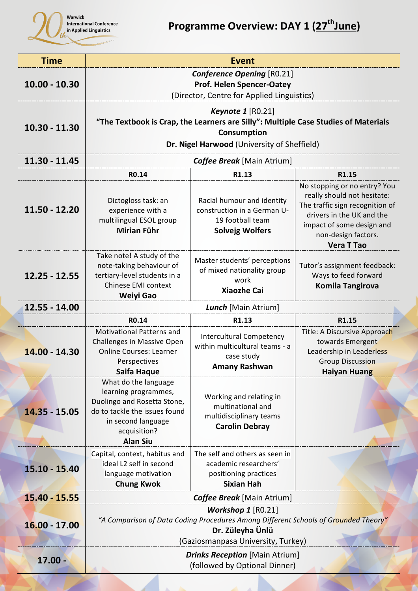

| <b>Time</b>     | <b>Event</b>                                                                                                                                                                          |                                                                                                         |                                                                                                                                                                                                      |  |  |
|-----------------|---------------------------------------------------------------------------------------------------------------------------------------------------------------------------------------|---------------------------------------------------------------------------------------------------------|------------------------------------------------------------------------------------------------------------------------------------------------------------------------------------------------------|--|--|
| $10.00 - 10.30$ | <b>Conference Opening [RO.21]</b><br><b>Prof. Helen Spencer-Oatey</b><br>(Director, Centre for Applied Linguistics)                                                                   |                                                                                                         |                                                                                                                                                                                                      |  |  |
| $10.30 - 11.30$ | <b>Keynote 1</b> $[RO.21]$<br>"The Textbook is Crap, the Learners are Silly": Multiple Case Studies of Materials<br><b>Consumption</b><br>Dr. Nigel Harwood (University of Sheffield) |                                                                                                         |                                                                                                                                                                                                      |  |  |
| $11.30 - 11.45$ | <b>Coffee Break</b> [Main Atrium]                                                                                                                                                     |                                                                                                         |                                                                                                                                                                                                      |  |  |
|                 | R0.14                                                                                                                                                                                 | R1.13                                                                                                   | R1.15                                                                                                                                                                                                |  |  |
| $11.50 - 12.20$ | Dictogloss task: an<br>experience with a<br>multilingual ESOL group<br><b>Mirian Führ</b>                                                                                             | Racial humour and identity<br>construction in a German U-<br>19 football team<br><b>Solvejg Wolfers</b> | No stopping or no entry? You<br>really should not hesitate:<br>The traffic sign recognition of<br>drivers in the UK and the<br>impact of some design and<br>non-design factors.<br><b>Vera T Tao</b> |  |  |
| $12.25 - 12.55$ | Take note! A study of the<br>note-taking behaviour of<br>tertiary-level students in a<br>Chinese EMI context<br><b>Weiyi Gao</b>                                                      | Master students' perceptions<br>of mixed nationality group<br>work<br><b>Xiaozhe Cai</b>                | Tutor's assignment feedback:<br>Ways to feed forward<br><b>Komila Tangirova</b>                                                                                                                      |  |  |
| 12.55 - 14.00   | Lunch [Main Atrium]                                                                                                                                                                   |                                                                                                         |                                                                                                                                                                                                      |  |  |
|                 | R <sub>0.14</sub>                                                                                                                                                                     | R1.13                                                                                                   | R1.15                                                                                                                                                                                                |  |  |
| 14.00 - 14.30   | <b>Motivational Patterns and</b><br><b>Challenges in Massive Open</b><br><b>Online Courses: Learner</b><br>Perspectives<br>Saifa Haque                                                | <b>Intercultural Competency</b><br>within multicultural teams - a<br>case study<br><b>Amany Rashwan</b> | Title: A Discursive Approach<br>towards Emergent<br>Leadership in Leaderless<br><b>Group Discussion</b><br><b>Haiyan Huang</b>                                                                       |  |  |
| $14.35 - 15.05$ | What do the language<br>learning programmes,<br>Duolingo and Rosetta Stone,<br>do to tackle the issues found<br>in second language<br>acquisition?<br><b>Alan Siu</b>                 | Working and relating in<br>multinational and<br>multidisciplinary teams<br><b>Carolin Debray</b>        |                                                                                                                                                                                                      |  |  |
| $15.10 - 15.40$ | Capital, context, habitus and<br>ideal L2 self in second<br>language motivation<br><b>Chung Kwok</b>                                                                                  | The self and others as seen in<br>academic researchers'<br>positioning practices<br><b>Sixian Hah</b>   |                                                                                                                                                                                                      |  |  |
| 15.40 - 15.55   |                                                                                                                                                                                       | <b>Coffee Break</b> [Main Atrium]                                                                       |                                                                                                                                                                                                      |  |  |
| $16.00 - 17.00$ | <b>Workshop 1</b> $[RO.21]$<br>"A Comparison of Data Coding Procedures Among Different Schools of Grounded Theory"<br>Dr. Züleyha Ünlü<br>(Gaziosmanpasa University, Turkey)          |                                                                                                         |                                                                                                                                                                                                      |  |  |
| $17.00 -$       | <b>Drinks Reception</b> [Main Atrium]<br>(followed by Optional Dinner)                                                                                                                |                                                                                                         |                                                                                                                                                                                                      |  |  |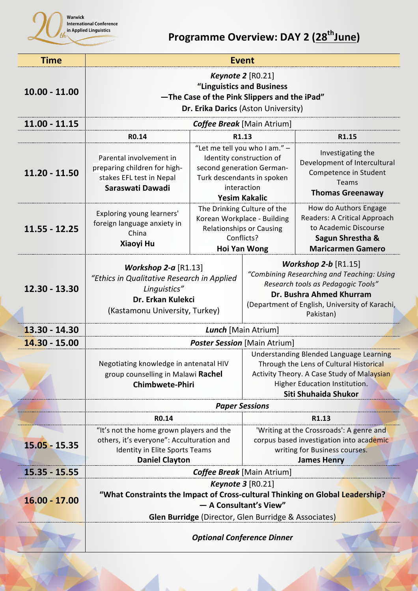

## **Programme Overview: DAY 2 (28<sup>th</sup>June)**

| <b>Time</b>     | <b>Event</b>                                                                                                                                                                           |                             |                                                                                                                                                                                                       |                                                                                                                                |  |
|-----------------|----------------------------------------------------------------------------------------------------------------------------------------------------------------------------------------|-----------------------------|-------------------------------------------------------------------------------------------------------------------------------------------------------------------------------------------------------|--------------------------------------------------------------------------------------------------------------------------------|--|
| $10.00 - 11.00$ | <b>Keynote 2</b> [RO.21]<br>"Linguistics and Business<br>-The Case of the Pink Slippers and the iPad"<br>Dr. Erika Darics (Aston University)                                           |                             |                                                                                                                                                                                                       |                                                                                                                                |  |
| $11.00 - 11.15$ | <b>Coffee Break</b> [Main Atrium]                                                                                                                                                      |                             |                                                                                                                                                                                                       |                                                                                                                                |  |
|                 | R0.14                                                                                                                                                                                  | R1.13                       |                                                                                                                                                                                                       | R1.15                                                                                                                          |  |
| $11.20 - 11.50$ | Parental involvement in<br>preparing children for high-<br>stakes EFL test in Nepal<br>Saraswati Dawadi                                                                                | <b>Yesim Kakalic</b>        | "Let me tell you who I am." -<br>Identity construction of<br>second generation German-<br>Turk descendants in spoken<br>interaction                                                                   | Investigating the<br>Development of Intercultural<br>Competence in Student<br><b>Teams</b><br><b>Thomas Greenaway</b>          |  |
| $11.55 - 12.25$ | Exploring young learners'<br>foreign language anxiety in<br>China<br><b>Xiaoyi Hu</b>                                                                                                  | The Drinking Culture of the | Korean Workplace - Building<br><b>Relationships or Causing</b><br>Conflicts?<br><b>Hoi Yan Wong</b>                                                                                                   | How do Authors Engage<br>Readers: A Critical Approach<br>to Academic Discourse<br>Sagun Shrestha &<br><b>Maricarmen Gamero</b> |  |
| 12.30 - 13.30   | Workshop $2-a$ [R1.13]<br>"Ethics in Qualitative Research in Applied<br>Linguistics"<br>Dr. Erkan Kulekci<br>(Kastamonu University, Turkey)                                            |                             | Workshop $2-b$ [R1.15]<br>"Combining Researching and Teaching: Using<br>Research tools as Pedagogic Tools"<br>Dr. Bushra Ahmed Khurram<br>(Department of English, University of Karachi,<br>Pakistan) |                                                                                                                                |  |
| 13.30 - 14.30   | Lunch [Main Atrium]                                                                                                                                                                    |                             |                                                                                                                                                                                                       |                                                                                                                                |  |
| $14.30 - 15.00$ | <b>Poster Session</b> [Main Atrium]                                                                                                                                                    |                             |                                                                                                                                                                                                       |                                                                                                                                |  |
|                 | Negotiating knowledge in antenatal HIV<br>group counselling in Malawi Rachel<br><b>Chimbwete-Phiri</b>                                                                                 |                             | Understanding Blended Language Learning<br>Through the Lens of Cultural Historical<br>Activity Theory. A Case Study of Malaysian<br>Higher Education Institution.<br>Siti Shuhaida Shukor             |                                                                                                                                |  |
|                 |                                                                                                                                                                                        |                             | <b>Paper Sessions</b>                                                                                                                                                                                 |                                                                                                                                |  |
|                 | R0.14                                                                                                                                                                                  |                             | R1.13                                                                                                                                                                                                 |                                                                                                                                |  |
| 15.05 - 15.35   | "It's not the home grown players and the<br>others, it's everyone": Acculturation and<br>Identity in Elite Sports Teams<br><b>Daniel Clayton</b>                                       |                             | 'Writing at the Crossroads': A genre and<br>corpus based investigation into academic<br>writing for Business courses.<br><b>James Henry</b>                                                           |                                                                                                                                |  |
| $15.35 - 15.55$ | <b>Coffee Break</b> [Main Atrium]                                                                                                                                                      |                             |                                                                                                                                                                                                       |                                                                                                                                |  |
| 16.00 - 17.00   | Keynote $3$ [RO.21]<br>"What Constraints the Impact of Cross-cultural Thinking on Global Leadership?<br>- A Consultant's View"<br>Glen Burridge (Director, Glen Burridge & Associates) |                             |                                                                                                                                                                                                       |                                                                                                                                |  |
|                 | <b>Optional Conference Dinner</b>                                                                                                                                                      |                             |                                                                                                                                                                                                       |                                                                                                                                |  |